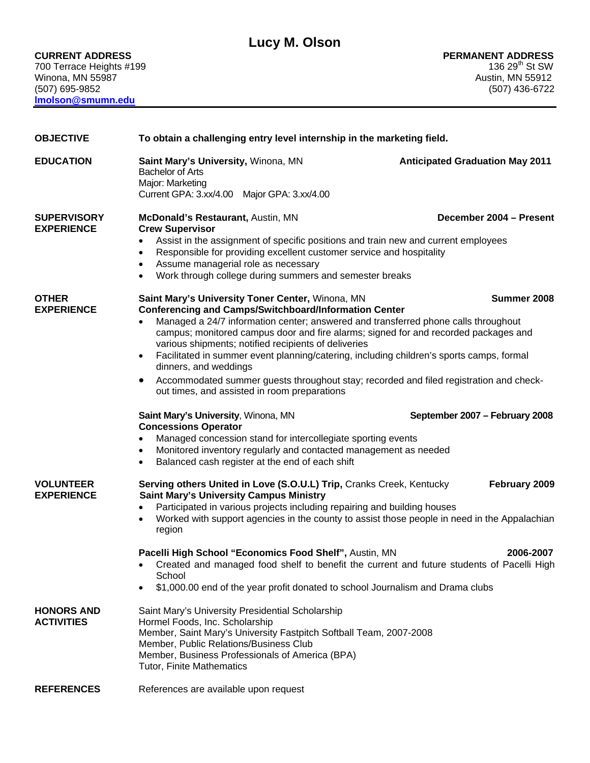Winona, MN 55987 (507) 695-9852 (507) 436-6722 **lmolson@smumn.edu**

| <b>OBJECTIVE</b>                        | To obtain a challenging entry level internship in the marketing field.                                                                                                                                                                                                                                                                                                                                                                                                                                                                                                                                                                                                                                                                                                                                                                                                                                                                                          |                                               |
|-----------------------------------------|-----------------------------------------------------------------------------------------------------------------------------------------------------------------------------------------------------------------------------------------------------------------------------------------------------------------------------------------------------------------------------------------------------------------------------------------------------------------------------------------------------------------------------------------------------------------------------------------------------------------------------------------------------------------------------------------------------------------------------------------------------------------------------------------------------------------------------------------------------------------------------------------------------------------------------------------------------------------|-----------------------------------------------|
| <b>EDUCATION</b>                        | Saint Mary's University, Winona, MN<br><b>Bachelor of Arts</b><br>Major: Marketing<br>Current GPA: 3.xx/4.00 Major GPA: 3.xx/4.00                                                                                                                                                                                                                                                                                                                                                                                                                                                                                                                                                                                                                                                                                                                                                                                                                               | <b>Anticipated Graduation May 2011</b>        |
| <b>SUPERVISORY</b><br><b>EXPERIENCE</b> | McDonald's Restaurant, Austin, MN<br><b>Crew Supervisor</b><br>Assist in the assignment of specific positions and train new and current employees<br>$\bullet$<br>Responsible for providing excellent customer service and hospitality<br>$\bullet$<br>Assume managerial role as necessary<br>$\bullet$<br>Work through college during summers and semester breaks<br>$\bullet$                                                                                                                                                                                                                                                                                                                                                                                                                                                                                                                                                                                 | December 2004 - Present                       |
| <b>OTHER</b><br><b>EXPERIENCE</b>       | Saint Mary's University Toner Center, Winona, MN<br><b>Conferencing and Camps/Switchboard/Information Center</b><br>Managed a 24/7 information center; answered and transferred phone calls throughout<br>$\bullet$<br>campus; monitored campus door and fire alarms; signed for and recorded packages and<br>various shipments; notified recipients of deliveries<br>Facilitated in summer event planning/catering, including children's sports camps, formal<br>$\bullet$<br>dinners, and weddings<br>Accommodated summer guests throughout stay; recorded and filed registration and check-<br>$\bullet$<br>out times, and assisted in room preparations<br>Saint Mary's University, Winona, MN<br><b>Concessions Operator</b><br>Managed concession stand for intercollegiate sporting events<br>$\bullet$<br>Monitored inventory regularly and contacted management as needed<br>$\bullet$<br>Balanced cash register at the end of each shift<br>$\bullet$ | Summer 2008<br>September 2007 - February 2008 |
| <b>VOLUNTEER</b><br><b>EXPERIENCE</b>   | Serving others United in Love (S.O.U.L) Trip, Cranks Creek, Kentucky<br><b>Saint Mary's University Campus Ministry</b><br>Participated in various projects including repairing and building houses<br>$\bullet$<br>Worked with support agencies in the county to assist those people in need in the Appalachian<br>$\bullet$<br>region<br>Pacelli High School "Economics Food Shelf", Austin, MN<br>Created and managed food shelf to benefit the current and future students of Pacelli High<br>٠<br>School<br>\$1,000.00 end of the year profit donated to school Journalism and Drama clubs<br>$\bullet$                                                                                                                                                                                                                                                                                                                                                     | February 2009<br>2006-2007                    |
| <b>HONORS AND</b><br><b>ACTIVITIES</b>  | Saint Mary's University Presidential Scholarship<br>Hormel Foods, Inc. Scholarship<br>Member, Saint Mary's University Fastpitch Softball Team, 2007-2008<br>Member, Public Relations/Business Club<br>Member, Business Professionals of America (BPA)<br><b>Tutor, Finite Mathematics</b>                                                                                                                                                                                                                                                                                                                                                                                                                                                                                                                                                                                                                                                                       |                                               |
| <b>REFERENCES</b>                       | References are available upon request                                                                                                                                                                                                                                                                                                                                                                                                                                                                                                                                                                                                                                                                                                                                                                                                                                                                                                                           |                                               |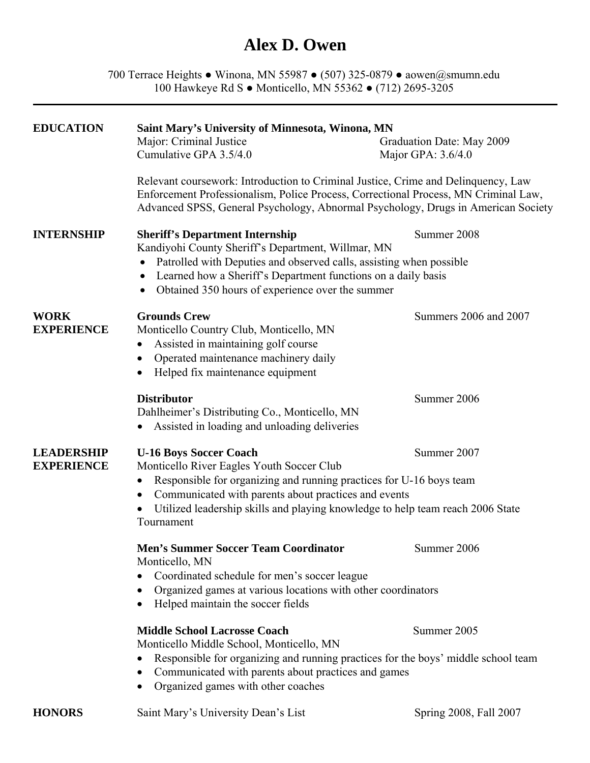### **Alex D. Owen**

700 Terrace Heights ● Winona, MN 55987 ● (507) 325-0879 ● aowen@smumn.edu 100 Hawkeye Rd S ● Monticello, MN 55362 ● (712) 2695-3205

| <b>EDUCATION</b>                       | Saint Mary's University of Minnesota, Winona, MN<br>Major: Criminal Justice<br>Cumulative GPA 3.5/4.0                                                                                                                                                                                                                  | Graduation Date: May 2009<br>Major GPA: 3.6/4.0 |
|----------------------------------------|------------------------------------------------------------------------------------------------------------------------------------------------------------------------------------------------------------------------------------------------------------------------------------------------------------------------|-------------------------------------------------|
|                                        | Relevant coursework: Introduction to Criminal Justice, Crime and Delinquency, Law<br>Enforcement Professionalism, Police Process, Correctional Process, MN Criminal Law,<br>Advanced SPSS, General Psychology, Abnormal Psychology, Drugs in American Society                                                          |                                                 |
| <b>INTERNSHIP</b>                      | <b>Sheriff's Department Internship</b><br>Kandiyohi County Sheriff's Department, Willmar, MN<br>Patrolled with Deputies and observed calls, assisting when possible<br>Learned how a Sheriff's Department functions on a daily basis<br>Obtained 350 hours of experience over the summer                               | Summer 2008                                     |
| <b>WORK</b><br><b>EXPERIENCE</b>       | <b>Grounds Crew</b><br>Monticello Country Club, Monticello, MN<br>Assisted in maintaining golf course<br>$\bullet$<br>Operated maintenance machinery daily<br>Helped fix maintenance equipment                                                                                                                         | Summers 2006 and 2007                           |
|                                        | <b>Distributor</b><br>Dahlheimer's Distributing Co., Monticello, MN<br>Assisted in loading and unloading deliveries                                                                                                                                                                                                    | Summer 2006                                     |
| <b>LEADERSHIP</b><br><b>EXPERIENCE</b> | <b>U-16 Boys Soccer Coach</b><br>Monticello River Eagles Youth Soccer Club<br>Responsible for organizing and running practices for U-16 boys team<br>Communicated with parents about practices and events<br>$\bullet$<br>Utilized leadership skills and playing knowledge to help team reach 2006 State<br>Tournament | Summer 2007                                     |
|                                        | <b>Men's Summer Soccer Team Coordinator</b><br>Summer 2006<br>Monticello, MN<br>Coordinated schedule for men's soccer league<br>Organized games at various locations with other coordinators<br>Helped maintain the soccer fields                                                                                      |                                                 |
|                                        | <b>Middle School Lacrosse Coach</b><br>Monticello Middle School, Monticello, MN<br>Responsible for organizing and running practices for the boys' middle school team<br>Communicated with parents about practices and games<br>Organized games with other coaches                                                      | Summer 2005                                     |
|                                        |                                                                                                                                                                                                                                                                                                                        |                                                 |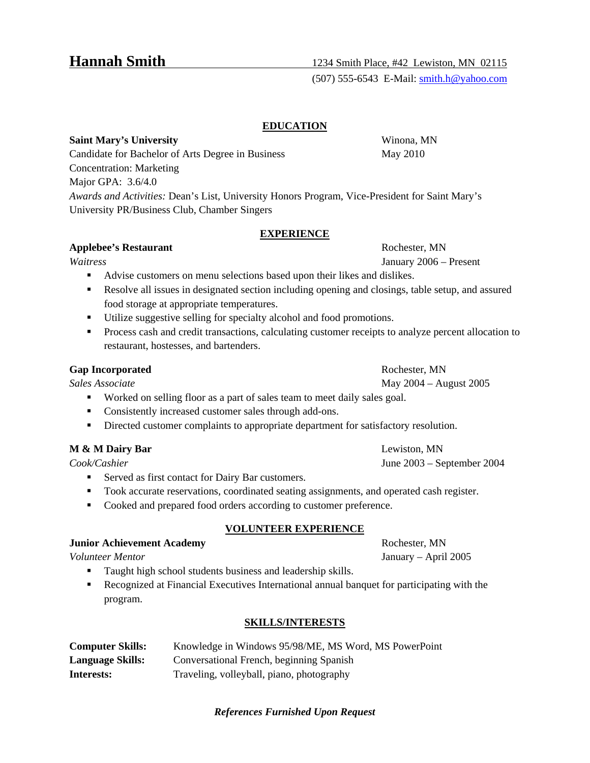### **EDUCATION**

**Saint Mary's University** Winona, MN Candidate for Bachelor of Arts Degree in Business May 2010 Concentration: Marketing Major GPA: 3.6/4.0 *Awards and Activities:* Dean's List, University Honors Program, Vice-President for Saint Mary's University PR/Business Club, Chamber Singers

### **EXPERIENCE**

### **Applebee's Restaurant Rochester, MN Rochester, MN**

*Waitress* January 2006 – Present

- Advise customers on menu selections based upon their likes and dislikes.
- Resolve all issues in designated section including opening and closings, table setup, and assured food storage at appropriate temperatures.
- Utilize suggestive selling for specialty alcohol and food promotions.
- **Process cash and credit transactions, calculating customer receipts to analyze percent allocation to** restaurant, hostesses, and bartenders.

### **Gap Incorporated Rochester, MN**

- Worked on selling floor as a part of sales team to meet daily sales goal.
- **Consistently increased customer sales through add-ons.**
- Directed customer complaints to appropriate department for satisfactory resolution.

### **M & M Dairy Bar** Lewiston, MN

- Served as first contact for Dairy Bar customers.
- Took accurate reservations, coordinated seating assignments, and operated cash register.
- Cooked and prepared food orders according to customer preference.

### **VOLUNTEER EXPERIENCE**

#### **Junior Achievement Academy Rochester, MN**

- Taught high school students business and leadership skills.
- Recognized at Financial Executives International annual banquet for participating with the program.

### **SKILLS/INTERESTS**

| <b>Computer Skills:</b> | Knowledge in Windows 95/98/ME, MS Word, MS PowerPoint |
|-------------------------|-------------------------------------------------------|
| <b>Language Skills:</b> | Conversational French, beginning Spanish              |
| Interests:              | Traveling, volleyball, piano, photography             |

### *References Furnished Upon Request*

*Sales Associate* May 2004 – August 2005

*Cook/Cashier* June 2003 – September 2004

*Volunteer Mentor*January – April 2005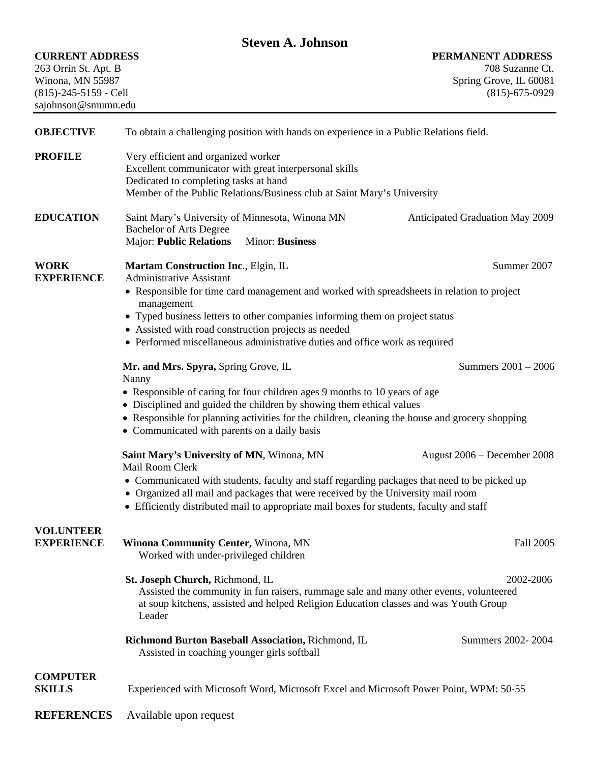|                                                                    |                                                                                                                     | <b>Steven A. Johnson</b>                                                                                                                                                     |                                                                                                     |
|--------------------------------------------------------------------|---------------------------------------------------------------------------------------------------------------------|------------------------------------------------------------------------------------------------------------------------------------------------------------------------------|-----------------------------------------------------------------------------------------------------|
| <b>CURRENT ADDRESS</b><br>263 Orrin St. Apt. B<br>Winona, MN 55987 |                                                                                                                     |                                                                                                                                                                              | PERMANENT ADDRESS<br>708 Suzanne Ct.<br>Spring Grove, IL 60081                                      |
| (815)-245-5159 - Cell<br>sajohnson@smumn.edu                       |                                                                                                                     |                                                                                                                                                                              | $(815)-675-0929$                                                                                    |
| <b>OBJECTIVE</b>                                                   |                                                                                                                     | To obtain a challenging position with hands on experience in a Public Relations field.                                                                                       |                                                                                                     |
| <b>PROFILE</b>                                                     | Very efficient and organized worker<br>Dedicated to completing tasks at hand                                        | Excellent communicator with great interpersonal skills<br>Member of the Public Relations/Business club at Saint Mary's University                                            |                                                                                                     |
| <b>EDUCATION</b>                                                   | Saint Mary's University of Minnesota, Winona MN<br><b>Bachelor of Arts Degree</b><br><b>Major: Public Relations</b> | Minor: Business                                                                                                                                                              | Anticipated Graduation May 2009                                                                     |
| <b>WORK</b>                                                        | Martam Construction Inc., Elgin, IL                                                                                 |                                                                                                                                                                              | Summer 2007                                                                                         |
| <b>EXPERIENCE</b>                                                  | <b>Administrative Assistant</b><br>management                                                                       | • Typed business letters to other companies informing them on project status                                                                                                 | • Responsible for time card management and worked with spreadsheets in relation to project          |
|                                                                    | • Assisted with road construction projects as needed                                                                | • Performed miscellaneous administrative duties and office work as required                                                                                                  |                                                                                                     |
|                                                                    | Mr. and Mrs. Spyra, Spring Grove, IL<br>Nanny                                                                       |                                                                                                                                                                              | Summers 2001 - 2006                                                                                 |
|                                                                    |                                                                                                                     | • Responsible of caring for four children ages 9 months to 10 years of age<br>• Disciplined and guided the children by showing them ethical values                           |                                                                                                     |
|                                                                    | • Communicated with parents on a daily basis                                                                        |                                                                                                                                                                              | • Responsible for planning activities for the children, cleaning the house and grocery shopping     |
|                                                                    | Saint Mary's University of MN, Winona, MN<br>Mail Room Clerk                                                        |                                                                                                                                                                              | August 2006 – December 2008                                                                         |
|                                                                    |                                                                                                                     | • Organized all mail and packages that were received by the University mail room<br>• Efficiently distributed mail to appropriate mail boxes for students, faculty and staff | • Communicated with students, faculty and staff regarding packages that need to be picked up        |
| <b>VOLUNTEER</b><br><b>EXPERIENCE</b>                              | Winona Community Center, Winona, MN<br>Worked with under-privileged children                                        |                                                                                                                                                                              | Fall 2005                                                                                           |
|                                                                    | St. Joseph Church, Richmond, IL<br>Leader                                                                           | at soup kitchens, assisted and helped Religion Education classes and was Youth Group                                                                                         | 2002-2006<br>Assisted the community in fun raisers, rummage sale and many other events, volunteered |
|                                                                    | Assisted in coaching younger girls softball                                                                         | Richmond Burton Baseball Association, Richmond, IL                                                                                                                           | Summers 2002-2004                                                                                   |
| <b>COMPUTER</b><br><b>SKILLS</b>                                   |                                                                                                                     |                                                                                                                                                                              | Experienced with Microsoft Word, Microsoft Excel and Microsoft Power Point, WPM: 50-55              |
| <b>REFERENCES</b>                                                  | Available upon request                                                                                              |                                                                                                                                                                              |                                                                                                     |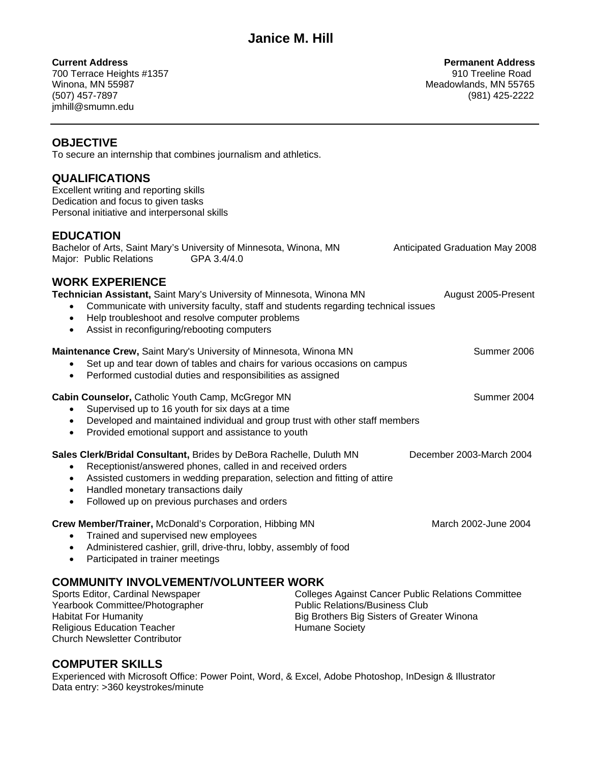**Current Address Permanent Address**  700 Terrace Heights #1357 910 Treeline Road Winona, MN 55987 Meadowlands, MN 55765 (507) 457-7897 (981) 425-2222 jmhill@smumn.edu

### **OBJECTIVE**

To secure an internship that combines journalism and athletics.

### **QUALIFICATIONS**

Excellent writing and reporting skills Dedication and focus to given tasks Personal initiative and interpersonal skills

### **EDUCATION**

Bachelor of Arts, Saint Mary's University of Minnesota, Winona, MN Anticipated Graduation May 2008 Major: Public Relations GPA 3.4/4.0

### **WORK EXPERIENCE**

**Technician Assistant,** Saint Mary's University of Minnesota, Winona MN August 2005-Present

- Communicate with university faculty, staff and students regarding technical issues
- Help troubleshoot and resolve computer problems
- Assist in reconfiguring/rebooting computers

**Maintenance Crew, Saint Mary's University of Minnesota, Winona MN Summer 2006** Summer 2006

- Set up and tear down of tables and chairs for various occasions on campus
- Performed custodial duties and responsibilities as assigned

### **Cabin Counselor,** Catholic Youth Camp, McGregor MN Summer 2004

- Supervised up to 16 youth for six days at a time
- Developed and maintained individual and group trust with other staff members
- Provided emotional support and assistance to youth

### **Sales Clerk/Bridal Consultant, Brides by DeBora Rachelle, Duluth MN December 2003-March 2004**

- Receptionist/answered phones, called in and received orders
- Assisted customers in wedding preparation, selection and fitting of attire
- Handled monetary transactions daily
- Followed up on previous purchases and orders

### **Crew Member/Trainer,** McDonald's Corporation, Hibbing MN March 2002-June 2004

- Trained and supervised new employees
- Administered cashier, grill, drive-thru, lobby, assembly of food
- Participated in trainer meetings

## **COMMUNITY INVOLVEMENT/VOLUNTEER WORK**<br>College College

Colleges Against Cancer Public Relations Committee Yearbook Committee/Photographer **Public Relations/Business Club** Public Relations/Business Club Habitat For Humanity Big Brothers Big Sisters of Greater Winona Religious Education Teacher **Humane Society Humane Society** Church Newsletter Contributor

### **COMPUTER SKILLS**

Experienced with Microsoft Office: Power Point, Word, & Excel, Adobe Photoshop, InDesign & Illustrator Data entry: >360 keystrokes/minute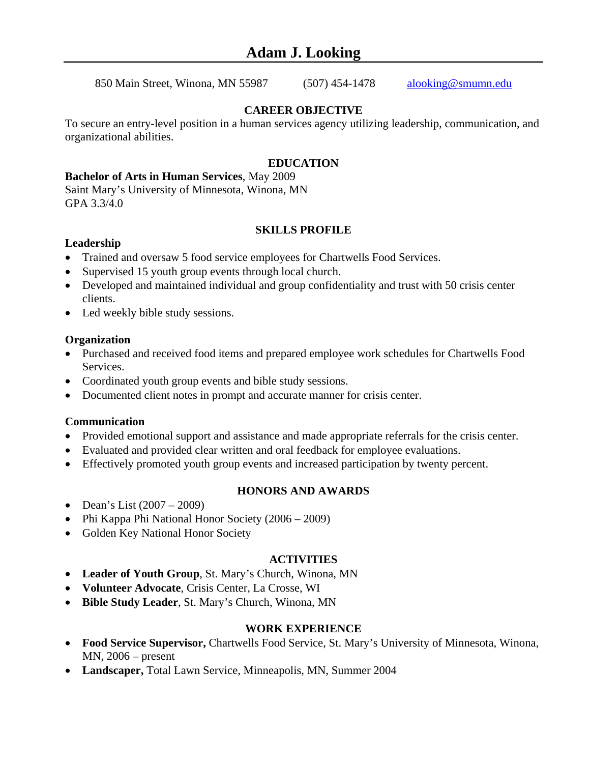### **Adam J. Looking**

850 Main Street, Winona, MN 55987 (507) 454-1478 alooking@smumn.edu

### **CAREER OBJECTIVE**

To secure an entry-level position in a human services agency utilizing leadership, communication, and organizational abilities.

### **EDUCATION**

### **Bachelor of Arts in Human Services**, May 2009

Saint Mary's University of Minnesota, Winona, MN GPA 3.3/4.0

### **SKILLS PROFILE**

### **Leadership**

- Trained and oversaw 5 food service employees for Chartwells Food Services.
- Supervised 15 youth group events through local church.
- Developed and maintained individual and group confidentiality and trust with 50 crisis center clients.
- Led weekly bible study sessions.

### **Organization**

- Purchased and received food items and prepared employee work schedules for Chartwells Food Services.
- Coordinated youth group events and bible study sessions.
- Documented client notes in prompt and accurate manner for crisis center.

### **Communication**

- Provided emotional support and assistance and made appropriate referrals for the crisis center.
- Evaluated and provided clear written and oral feedback for employee evaluations.
- Effectively promoted youth group events and increased participation by twenty percent.

### **HONORS AND AWARDS**

- Dean's List  $(2007 2009)$
- Phi Kappa Phi National Honor Society (2006 2009)
- Golden Key National Honor Society

### **ACTIVITIES**

- **Leader of Youth Group**, St. Mary's Church, Winona, MN
- **Volunteer Advocate**, Crisis Center, La Crosse, WI
- **Bible Study Leader**, St. Mary's Church, Winona, MN

### **WORK EXPERIENCE**

- **Food Service Supervisor,** Chartwells Food Service, St. Mary's University of Minnesota, Winona, MN, 2006 – present
- **Landscaper,** Total Lawn Service, Minneapolis, MN, Summer 2004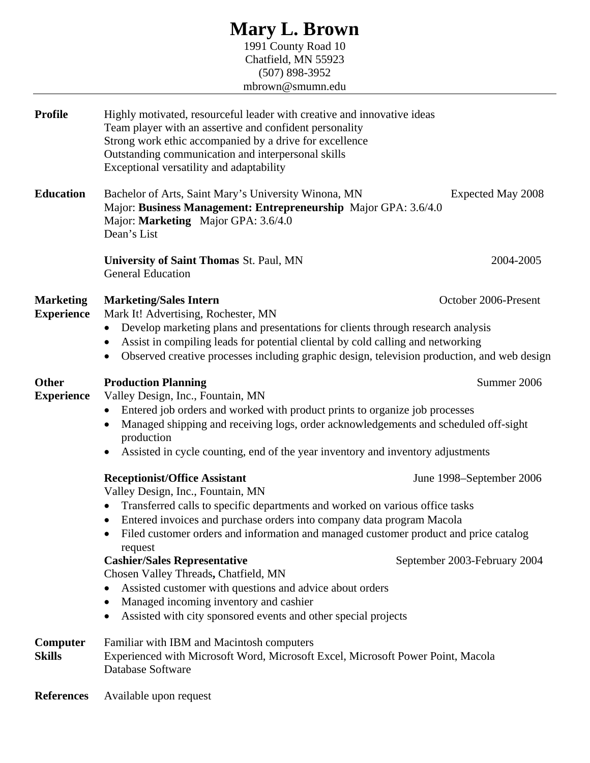### **Mary L. Brown**

1991 County Road 10 Chatfield, MN 55923 (507) 898-3952 mbrown@smumn.edu

| <b>Profile</b>                        | Highly motivated, resourceful leader with creative and innovative ideas<br>Team player with an assertive and confident personality<br>Strong work ethic accompanied by a drive for excellence<br>Outstanding communication and interpersonal skills<br>Exceptional versatility and adaptability                                                                                                                                                                                                                                                                                                                                     |                                                          |
|---------------------------------------|-------------------------------------------------------------------------------------------------------------------------------------------------------------------------------------------------------------------------------------------------------------------------------------------------------------------------------------------------------------------------------------------------------------------------------------------------------------------------------------------------------------------------------------------------------------------------------------------------------------------------------------|----------------------------------------------------------|
| <b>Education</b>                      | Bachelor of Arts, Saint Mary's University Winona, MN<br>Major: Business Management: Entrepreneurship Major GPA: 3.6/4.0<br>Major: Marketing Major GPA: 3.6/4.0<br>Dean's List                                                                                                                                                                                                                                                                                                                                                                                                                                                       | Expected May 2008                                        |
|                                       | <b>University of Saint Thomas St. Paul, MN</b><br><b>General Education</b>                                                                                                                                                                                                                                                                                                                                                                                                                                                                                                                                                          | 2004-2005                                                |
| <b>Marketing</b><br><b>Experience</b> | <b>Marketing/Sales Intern</b><br>Mark It! Advertising, Rochester, MN<br>Develop marketing plans and presentations for clients through research analysis<br>$\bullet$<br>Assist in compiling leads for potential cliental by cold calling and networking<br>Observed creative processes including graphic design, television production, and web design                                                                                                                                                                                                                                                                              | October 2006-Present                                     |
| <b>Other</b><br><b>Experience</b>     | <b>Production Planning</b><br>Valley Design, Inc., Fountain, MN<br>Entered job orders and worked with product prints to organize job processes<br>$\bullet$<br>Managed shipping and receiving logs, order acknowledgements and scheduled off-sight<br>٠<br>production<br>Assisted in cycle counting, end of the year inventory and inventory adjustments                                                                                                                                                                                                                                                                            | Summer 2006                                              |
|                                       | <b>Receptionist/Office Assistant</b><br>Valley Design, Inc., Fountain, MN<br>Transferred calls to specific departments and worked on various office tasks<br>$\bullet$<br>Entered invoices and purchase orders into company data program Macola<br>Filed customer orders and information and managed customer product and price catalog<br>request<br><b>Cashier/Sales Representative</b><br>Chosen Valley Threads, Chatfield, MN<br>Assisted customer with questions and advice about orders<br>$\bullet$<br>Managed incoming inventory and cashier<br>$\bullet$<br>Assisted with city sponsored events and other special projects | June 1998–September 2006<br>September 2003-February 2004 |
| Computer<br><b>Skills</b>             | Familiar with IBM and Macintosh computers<br>Experienced with Microsoft Word, Microsoft Excel, Microsoft Power Point, Macola<br>Database Software                                                                                                                                                                                                                                                                                                                                                                                                                                                                                   |                                                          |
| <b>References</b>                     | Available upon request                                                                                                                                                                                                                                                                                                                                                                                                                                                                                                                                                                                                              |                                                          |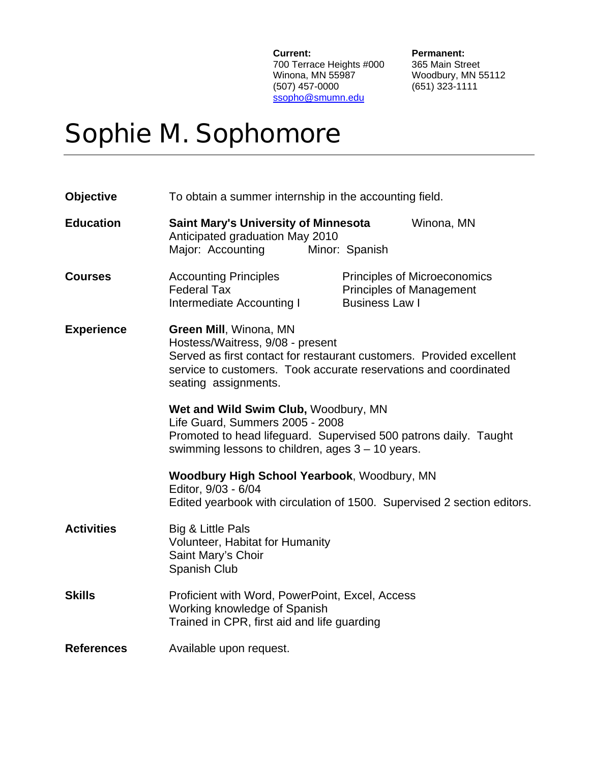**Current:** Permanent:<br>700 Terrace Heights #000 365 Main Street 700 Terrace Heights #000<br>Winona, MN 55987 (507) 457-0000 (651) 323-1111 ssopho@smumn.edu

Woodbury, MN 55112

# Sophie M. Sophomore

| <b>Objective</b>  | To obtain a summer internship in the accounting field.                                                                                                                                                                         |
|-------------------|--------------------------------------------------------------------------------------------------------------------------------------------------------------------------------------------------------------------------------|
| <b>Education</b>  | Saint Mary's University of Minnesota<br>Winona, MN<br>Anticipated graduation May 2010<br>Major: Accounting<br>Minor: Spanish                                                                                                   |
| <b>Courses</b>    | <b>Accounting Principles</b><br><b>Principles of Microeconomics</b><br><b>Federal Tax</b><br><b>Principles of Management</b><br><b>Business Law I</b><br>Intermediate Accounting I                                             |
| <b>Experience</b> | Green Mill, Winona, MN<br>Hostess/Waitress, 9/08 - present<br>Served as first contact for restaurant customers. Provided excellent<br>service to customers. Took accurate reservations and coordinated<br>seating assignments. |
|                   | Wet and Wild Swim Club, Woodbury, MN<br>Life Guard, Summers 2005 - 2008<br>Promoted to head lifeguard. Supervised 500 patrons daily. Taught<br>swimming lessons to children, ages $3 - 10$ years.                              |
|                   | Woodbury High School Yearbook, Woodbury, MN<br>Editor, 9/03 - 6/04<br>Edited yearbook with circulation of 1500. Supervised 2 section editors.                                                                                  |
| <b>Activities</b> | Big & Little Pals<br>Volunteer, Habitat for Humanity<br>Saint Mary's Choir<br>Spanish Club                                                                                                                                     |
| <b>Skills</b>     | Proficient with Word, PowerPoint, Excel, Access<br>Working knowledge of Spanish<br>Trained in CPR, first aid and life guarding                                                                                                 |
| <b>References</b> | Available upon request.                                                                                                                                                                                                        |